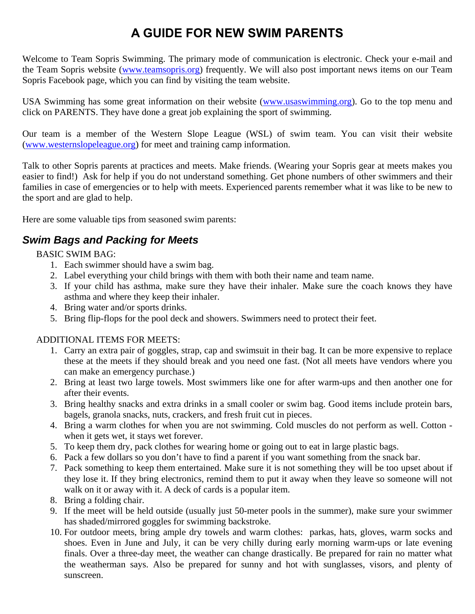# **A GUIDE FOR NEW SWIM PARENTS**

Welcome to Team Sopris Swimming. The primary mode of communication is electronic. Check your e-mail and the Team Sopris website (www.teamsopris.org) frequently. We will also post important news items on our Team Sopris Facebook page, which you can find by visiting the team website.

USA Swimming has some great information on their website (www.usaswimming.org). Go to the top menu and click on PARENTS. They have done a great job explaining the sport of swimming.

Our team is a member of the Western Slope League (WSL) of swim team. You can visit their website (www.westernslopeleague.org) for meet and training camp information.

Talk to other Sopris parents at practices and meets. Make friends. (Wearing your Sopris gear at meets makes you easier to find!) Ask for help if you do not understand something. Get phone numbers of other swimmers and their families in case of emergencies or to help with meets. Experienced parents remember what it was like to be new to the sport and are glad to help.

Here are some valuable tips from seasoned swim parents:

# *Swim Bags and Packing for Meets*

BASIC SWIM BAG:

- 1. Each swimmer should have a swim bag.
- 2. Label everything your child brings with them with both their name and team name.
- 3. If your child has asthma, make sure they have their inhaler. Make sure the coach knows they have asthma and where they keep their inhaler.
- 4. Bring water and/or sports drinks.
- 5. Bring flip-flops for the pool deck and showers. Swimmers need to protect their feet.

#### ADDITIONAL ITEMS FOR MEETS:

- 1. Carry an extra pair of goggles, strap, cap and swimsuit in their bag. It can be more expensive to replace these at the meets if they should break and you need one fast. (Not all meets have vendors where you can make an emergency purchase.)
- 2. Bring at least two large towels. Most swimmers like one for after warm-ups and then another one for after their events.
- 3. Bring healthy snacks and extra drinks in a small cooler or swim bag. Good items include protein bars, bagels, granola snacks, nuts, crackers, and fresh fruit cut in pieces.
- 4. Bring a warm clothes for when you are not swimming. Cold muscles do not perform as well. Cotton when it gets wet, it stays wet forever.
- 5. To keep them dry, pack clothes for wearing home or going out to eat in large plastic bags.
- 6. Pack a few dollars so you don't have to find a parent if you want something from the snack bar.
- 7. Pack something to keep them entertained. Make sure it is not something they will be too upset about if they lose it. If they bring electronics, remind them to put it away when they leave so someone will not walk on it or away with it. A deck of cards is a popular item.
- 8. Bring a folding chair.
- 9. If the meet will be held outside (usually just 50-meter pools in the summer), make sure your swimmer has shaded/mirrored goggles for swimming backstroke.
- 10. For outdoor meets, bring ample dry towels and warm clothes: parkas, hats, gloves, warm socks and shoes. Even in June and July, it can be very chilly during early morning warm-ups or late evening finals. Over a three-day meet, the weather can change drastically. Be prepared for rain no matter what the weatherman says. Also be prepared for sunny and hot with sunglasses, visors, and plenty of sunscreen.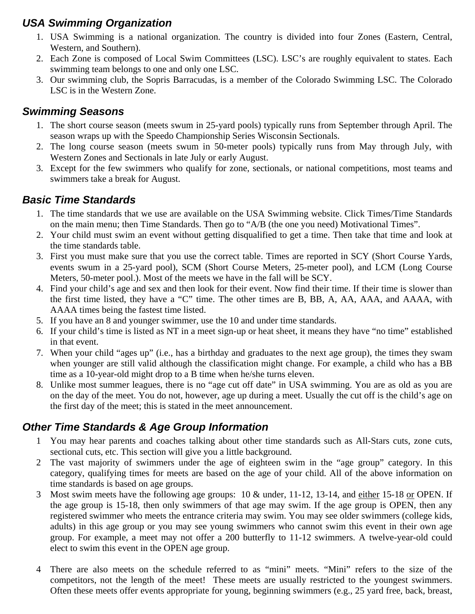# *USA Swimming Organization*

- 1. USA Swimming is a national organization. The country is divided into four Zones (Eastern, Central, Western, and Southern).
- 2. Each Zone is composed of Local Swim Committees (LSC). LSC's are roughly equivalent to states. Each swimming team belongs to one and only one LSC.
- 3. Our swimming club, the Sopris Barracudas, is a member of the Colorado Swimming LSC. The Colorado LSC is in the Western Zone.

# *Swimming Seasons*

- 1. The short course season (meets swum in 25-yard pools) typically runs from September through April. The season wraps up with the Speedo Championship Series Wisconsin Sectionals.
- 2. The long course season (meets swum in 50-meter pools) typically runs from May through July, with Western Zones and Sectionals in late July or early August.
- 3. Except for the few swimmers who qualify for zone, sectionals, or national competitions, most teams and swimmers take a break for August.

# *Basic Time Standards*

- 1. The time standards that we use are available on the USA Swimming website. Click Times/Time Standards on the main menu; then Time Standards. Then go to "A/B (the one you need) Motivational Times".
- 2. Your child must swim an event without getting disqualified to get a time. Then take that time and look at the time standards table.
- 3. First you must make sure that you use the correct table. Times are reported in SCY (Short Course Yards, events swum in a 25-yard pool), SCM (Short Course Meters, 25-meter pool), and LCM (Long Course Meters, 50-meter pool.). Most of the meets we have in the fall will be SCY.
- 4. Find your child's age and sex and then look for their event. Now find their time. If their time is slower than the first time listed, they have a "C" time. The other times are B, BB, A, AA, AAA, and AAAA, with AAAA times being the fastest time listed.
- 5. If you have an 8 and younger swimmer, use the 10 and under time standards.
- 6. If your child's time is listed as NT in a meet sign-up or heat sheet, it means they have "no time" established in that event.
- 7. When your child "ages up" (i.e., has a birthday and graduates to the next age group), the times they swam when younger are still valid although the classification might change. For example, a child who has a BB time as a 10-year-old might drop to a B time when he/she turns eleven.
- 8. Unlike most summer leagues, there is no "age cut off date" in USA swimming. You are as old as you are on the day of the meet. You do not, however, age up during a meet. Usually the cut off is the child's age on the first day of the meet; this is stated in the meet announcement.

# *Other Time Standards & Age Group Information*

- 1 You may hear parents and coaches talking about other time standards such as All-Stars cuts, zone cuts, sectional cuts, etc. This section will give you a little background.
- 2 The vast majority of swimmers under the age of eighteen swim in the "age group" category. In this category, qualifying times for meets are based on the age of your child. All of the above information on time standards is based on age groups.
- 3 Most swim meets have the following age groups: 10 & under, 11-12, 13-14, and either 15-18 or OPEN. If the age group is 15-18, then only swimmers of that age may swim. If the age group is OPEN, then any registered swimmer who meets the entrance criteria may swim. You may see older swimmers (college kids, adults) in this age group or you may see young swimmers who cannot swim this event in their own age group. For example, a meet may not offer a 200 butterfly to 11-12 swimmers. A twelve-year-old could elect to swim this event in the OPEN age group.
- 4 There are also meets on the schedule referred to as "mini" meets. "Mini" refers to the size of the competitors, not the length of the meet! These meets are usually restricted to the youngest swimmers. Often these meets offer events appropriate for young, beginning swimmers (e.g., 25 yard free, back, breast,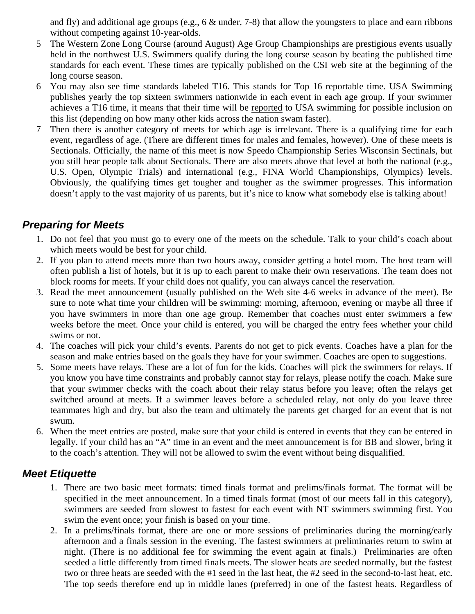and fly) and additional age groups (e.g., 6 & under, 7-8) that allow the youngsters to place and earn ribbons without competing against 10-year-olds.

- 5 The Western Zone Long Course (around August) Age Group Championships are prestigious events usually held in the northwest U.S. Swimmers qualify during the long course season by beating the published time standards for each event. These times are typically published on the CSI web site at the beginning of the long course season.
- 6 You may also see time standards labeled T16. This stands for Top 16 reportable time. USA Swimming publishes yearly the top sixteen swimmers nationwide in each event in each age group. If your swimmer achieves a T16 time, it means that their time will be reported to USA swimming for possible inclusion on this list (depending on how many other kids across the nation swam faster).
- 7 Then there is another category of meets for which age is irrelevant. There is a qualifying time for each event, regardless of age. (There are different times for males and females, however). One of these meets is Sectionals. Officially, the name of this meet is now Speedo Championship Series Wisconsin Sectinals, but you still hear people talk about Sectionals. There are also meets above that level at both the national (e.g., U.S. Open, Olympic Trials) and international (e.g., FINA World Championships, Olympics) levels. Obviously, the qualifying times get tougher and tougher as the swimmer progresses. This information doesn't apply to the vast majority of us parents, but it's nice to know what somebody else is talking about!

#### *Preparing for Meets*

- 1. Do not feel that you must go to every one of the meets on the schedule. Talk to your child's coach about which meets would be best for your child.
- 2. If you plan to attend meets more than two hours away, consider getting a hotel room. The host team will often publish a list of hotels, but it is up to each parent to make their own reservations. The team does not block rooms for meets. If your child does not qualify, you can always cancel the reservation.
- 3. Read the meet announcement (usually published on the Web site 4-6 weeks in advance of the meet). Be sure to note what time your children will be swimming: morning, afternoon, evening or maybe all three if you have swimmers in more than one age group. Remember that coaches must enter swimmers a few weeks before the meet. Once your child is entered, you will be charged the entry fees whether your child swims or not.
- 4. The coaches will pick your child's events. Parents do not get to pick events. Coaches have a plan for the season and make entries based on the goals they have for your swimmer. Coaches are open to suggestions.
- 5. Some meets have relays. These are a lot of fun for the kids. Coaches will pick the swimmers for relays. If you know you have time constraints and probably cannot stay for relays, please notify the coach. Make sure that your swimmer checks with the coach about their relay status before you leave; often the relays get switched around at meets. If a swimmer leaves before a scheduled relay, not only do you leave three teammates high and dry, but also the team and ultimately the parents get charged for an event that is not swum.
- 6. When the meet entries are posted, make sure that your child is entered in events that they can be entered in legally. If your child has an "A" time in an event and the meet announcement is for BB and slower, bring it to the coach's attention. They will not be allowed to swim the event without being disqualified.

#### *Meet Etiquette*

- 1. There are two basic meet formats: timed finals format and prelims/finals format. The format will be specified in the meet announcement. In a timed finals format (most of our meets fall in this category), swimmers are seeded from slowest to fastest for each event with NT swimmers swimming first. You swim the event once; your finish is based on your time.
- 2. In a prelims/finals format, there are one or more sessions of preliminaries during the morning/early afternoon and a finals session in the evening. The fastest swimmers at preliminaries return to swim at night. (There is no additional fee for swimming the event again at finals.) Preliminaries are often seeded a little differently from timed finals meets. The slower heats are seeded normally, but the fastest two or three heats are seeded with the #1 seed in the last heat, the #2 seed in the second-to-last heat, etc. The top seeds therefore end up in middle lanes (preferred) in one of the fastest heats. Regardless of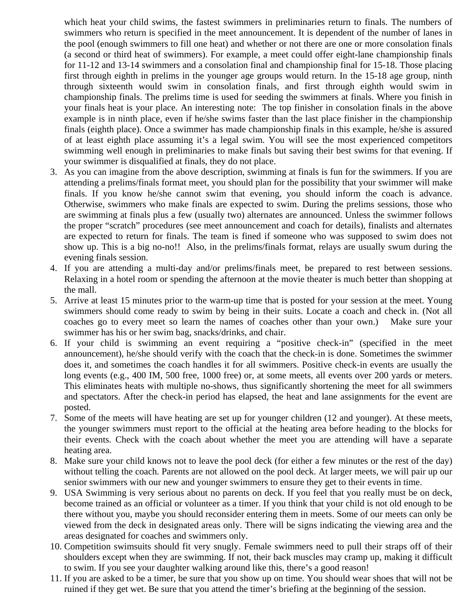which heat your child swims, the fastest swimmers in preliminaries return to finals. The numbers of swimmers who return is specified in the meet announcement. It is dependent of the number of lanes in the pool (enough swimmers to fill one heat) and whether or not there are one or more consolation finals (a second or third heat of swimmers). For example, a meet could offer eight-lane championship finals for 11-12 and 13-14 swimmers and a consolation final and championship final for 15-18. Those placing first through eighth in prelims in the younger age groups would return. In the 15-18 age group, ninth through sixteenth would swim in consolation finals, and first through eighth would swim in championship finals. The prelims time is used for seeding the swimmers at finals. Where you finish in your finals heat is your place. An interesting note: The top finisher in consolation finals in the above example is in ninth place, even if he/she swims faster than the last place finisher in the championship finals (eighth place). Once a swimmer has made championship finals in this example, he/she is assured of at least eighth place assuming it's a legal swim. You will see the most experienced competitors swimming well enough in preliminaries to make finals but saving their best swims for that evening. If your swimmer is disqualified at finals, they do not place.

- 3. As you can imagine from the above description, swimming at finals is fun for the swimmers. If you are attending a prelims/finals format meet, you should plan for the possibility that your swimmer will make finals. If you know he/she cannot swim that evening, you should inform the coach is advance. Otherwise, swimmers who make finals are expected to swim. During the prelims sessions, those who are swimming at finals plus a few (usually two) alternates are announced. Unless the swimmer follows the proper "scratch" procedures (see meet announcement and coach for details), finalists and alternates are expected to return for finals. The team is fined if someone who was supposed to swim does not show up. This is a big no-no!! Also, in the prelims/finals format, relays are usually swum during the evening finals session.
- 4. If you are attending a multi-day and/or prelims/finals meet, be prepared to rest between sessions. Relaxing in a hotel room or spending the afternoon at the movie theater is much better than shopping at the mall.
- 5. Arrive at least 15 minutes prior to the warm-up time that is posted for your session at the meet. Young swimmers should come ready to swim by being in their suits. Locate a coach and check in. (Not all coaches go to every meet so learn the names of coaches other than your own.) Make sure your swimmer has his or her swim bag, snacks/drinks, and chair.
- 6. If your child is swimming an event requiring a "positive check-in" (specified in the meet announcement), he/she should verify with the coach that the check-in is done. Sometimes the swimmer does it, and sometimes the coach handles it for all swimmers. Positive check-in events are usually the long events (e.g., 400 IM, 500 free, 1000 free) or, at some meets, all events over 200 yards or meters. This eliminates heats with multiple no-shows, thus significantly shortening the meet for all swimmers and spectators. After the check-in period has elapsed, the heat and lane assignments for the event are posted.
- 7. Some of the meets will have heating are set up for younger children (12 and younger). At these meets, the younger swimmers must report to the official at the heating area before heading to the blocks for their events. Check with the coach about whether the meet you are attending will have a separate heating area.
- 8. Make sure your child knows not to leave the pool deck (for either a few minutes or the rest of the day) without telling the coach. Parents are not allowed on the pool deck. At larger meets, we will pair up our senior swimmers with our new and younger swimmers to ensure they get to their events in time.
- 9. USA Swimming is very serious about no parents on deck. If you feel that you really must be on deck, become trained as an official or volunteer as a timer. If you think that your child is not old enough to be there without you, maybe you should reconsider entering them in meets. Some of our meets can only be viewed from the deck in designated areas only. There will be signs indicating the viewing area and the areas designated for coaches and swimmers only.
- 10. Competition swimsuits should fit very snugly. Female swimmers need to pull their straps off of their shoulders except when they are swimming. If not, their back muscles may cramp up, making it difficult to swim. If you see your daughter walking around like this, there's a good reason!
- 11. If you are asked to be a timer, be sure that you show up on time. You should wear shoes that will not be ruined if they get wet. Be sure that you attend the timer's briefing at the beginning of the session.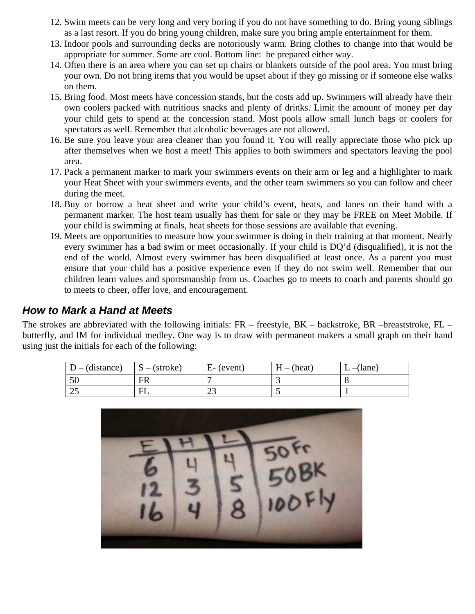- 12. Swim meets can be very long and very boring if you do not have something to do. Bring young siblings as a last resort. If you do bring young children, make sure you bring ample entertainment for them.
- 13. Indoor pools and surrounding decks are notoriously warm. Bring clothes to change into that would be appropriate for summer. Some are cool. Bottom line: be prepared either way.
- 14. Often there is an area where you can set up chairs or blankets outside of the pool area. You must bring your own. Do not bring items that you would be upset about if they go missing or if someone else walks on them.
- 15. Bring food. Most meets have concession stands, but the costs add up. Swimmers will already have their own coolers packed with nutritious snacks and plenty of drinks. Limit the amount of money per day your child gets to spend at the concession stand. Most pools allow small lunch bags or coolers for spectators as well. Remember that alcoholic beverages are not allowed.
- 16. Be sure you leave your area cleaner than you found it. You will really appreciate those who pick up after themselves when we host a meet! This applies to both swimmers and spectators leaving the pool area.
- 17. Pack a permanent marker to mark your swimmers events on their arm or leg and a highlighter to mark your Heat Sheet with your swimmers events, and the other team swimmers so you can follow and cheer during the meet.
- 18. Buy or borrow a heat sheet and write your child's event, heats, and lanes on their hand with a permanent marker. The host team usually has them for sale or they may be FREE on Meet Mobile. If your child is swimming at finals, heat sheets for those sessions are available that evening.
- 19. Meets are opportunities to measure how your swimmer is doing in their training at that moment. Nearly every swimmer has a bad swim or meet occasionally. If your child is DQ'd (disqualified), it is not the end of the world. Almost every swimmer has been disqualified at least once. As a parent you must ensure that your child has a positive experience even if they do not swim well. Remember that our children learn values and sportsmanship from us. Coaches go to meets to coach and parents should go to meets to cheer, offer love, and encouragement.

### *How to Mark a Hand at Meets*

The strokes are abbreviated with the following initials:  $FR$  – freestyle,  $BK$  – backstroke,  $BR$  –breaststroke,  $FL$  – butterfly, and IM for individual medley. One way is to draw with permanent makers a small graph on their hand using just the initials for each of the following:

| $D - (distance)$ | $S - (stroke)$ | $E-(event)$ | $H - (heat)$ | $L$ –(lane) |
|------------------|----------------|-------------|--------------|-------------|
| 50               | FR             |             |              |             |
| $\cap$<br>رے     | F              | رے          |              |             |